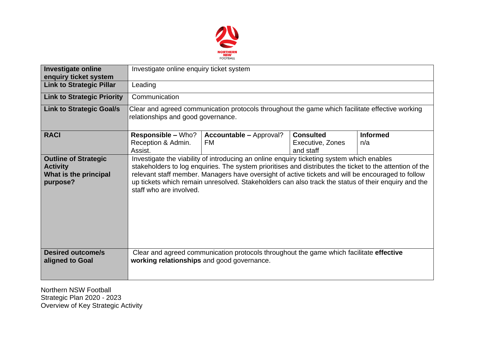

| <b>Investigate online</b><br>enquiry ticket system                                  | Investigate online enquiry ticket system                                                                                                                                                                                                                                                                                                                                                                                                     |                                             |                                                   |                        |  |  |  |
|-------------------------------------------------------------------------------------|----------------------------------------------------------------------------------------------------------------------------------------------------------------------------------------------------------------------------------------------------------------------------------------------------------------------------------------------------------------------------------------------------------------------------------------------|---------------------------------------------|---------------------------------------------------|------------------------|--|--|--|
| <b>Link to Strategic Pillar</b>                                                     | Leading                                                                                                                                                                                                                                                                                                                                                                                                                                      |                                             |                                                   |                        |  |  |  |
| <b>Link to Strategic Priority</b>                                                   | Communication                                                                                                                                                                                                                                                                                                                                                                                                                                |                                             |                                                   |                        |  |  |  |
| <b>Link to Strategic Goal/s</b>                                                     | Clear and agreed communication protocols throughout the game which facilitate effective working<br>relationships and good governance.                                                                                                                                                                                                                                                                                                        |                                             |                                                   |                        |  |  |  |
| <b>RACI</b>                                                                         | <b>Responsible – Who?</b><br>Reception & Admin.<br>Assist.                                                                                                                                                                                                                                                                                                                                                                                   | <b>Accountable - Approval?</b><br><b>FM</b> | <b>Consulted</b><br>Executive, Zones<br>and staff | <b>Informed</b><br>n/a |  |  |  |
| <b>Outline of Strategic</b><br><b>Activity</b><br>What is the principal<br>purpose? | Investigate the viability of introducing an online enquiry ticketing system which enables<br>stakeholders to log enquiries. The system prioritises and distributes the ticket to the attention of the<br>relevant staff member. Managers have oversight of active tickets and will be encouraged to follow<br>up tickets which remain unresolved. Stakeholders can also track the status of their enquiry and the<br>staff who are involved. |                                             |                                                   |                        |  |  |  |
| <b>Desired outcome/s</b><br>aligned to Goal                                         | Clear and agreed communication protocols throughout the game which facilitate effective<br>working relationships and good governance.                                                                                                                                                                                                                                                                                                        |                                             |                                                   |                        |  |  |  |

Northern NSW Football Strategic Plan 2020 - 2023 Overview of Key Strategic Activity